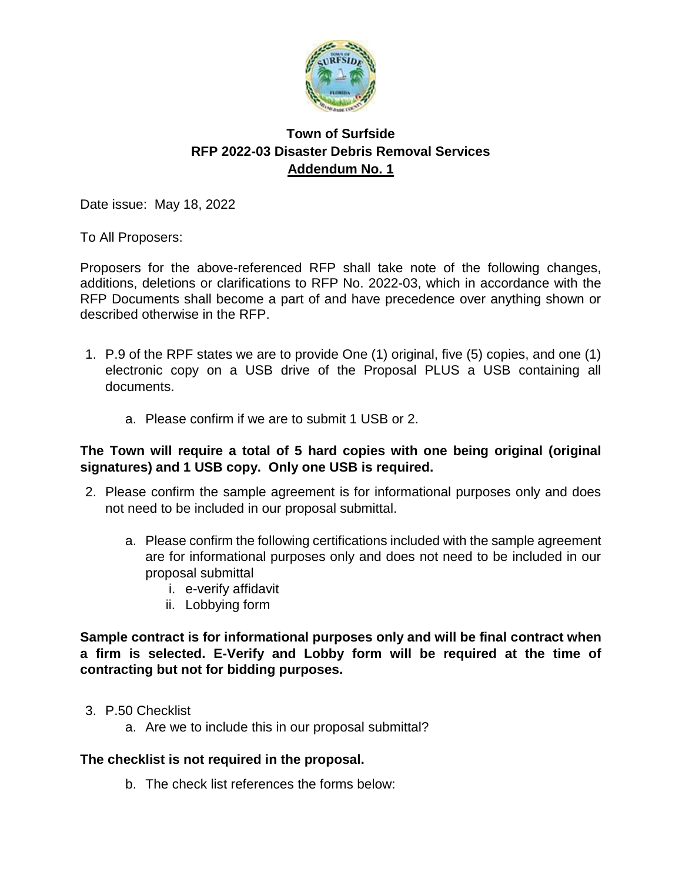

## **Town of Surfside RFP 2022-03 Disaster Debris Removal Services Addendum No. 1**

Date issue: May 18, 2022

To All Proposers:

Proposers for the above-referenced RFP shall take note of the following changes, additions, deletions or clarifications to RFP No. 2022-03, which in accordance with the RFP Documents shall become a part of and have precedence over anything shown or described otherwise in the RFP.

- 1. P.9 of the RPF states we are to provide One (1) original, five (5) copies, and one (1) electronic copy on a USB drive of the Proposal PLUS a USB containing all documents.
	- a. Please confirm if we are to submit 1 USB or 2.

#### **The Town will require a total of 5 hard copies with one being original (original signatures) and 1 USB copy. Only one USB is required.**

- 2. Please confirm the sample agreement is for informational purposes only and does not need to be included in our proposal submittal.
	- a. Please confirm the following certifications included with the sample agreement are for informational purposes only and does not need to be included in our proposal submittal
		- i. e-verify affidavit
		- ii. Lobbying form

#### **Sample contract is for informational purposes only and will be final contract when a firm is selected. E-Verify and Lobby form will be required at the time of contracting but not for bidding purposes.**

- 3. P.50 Checklist
	- a. Are we to include this in our proposal submittal?

## **The checklist is not required in the proposal.**

b. The check list references the forms below: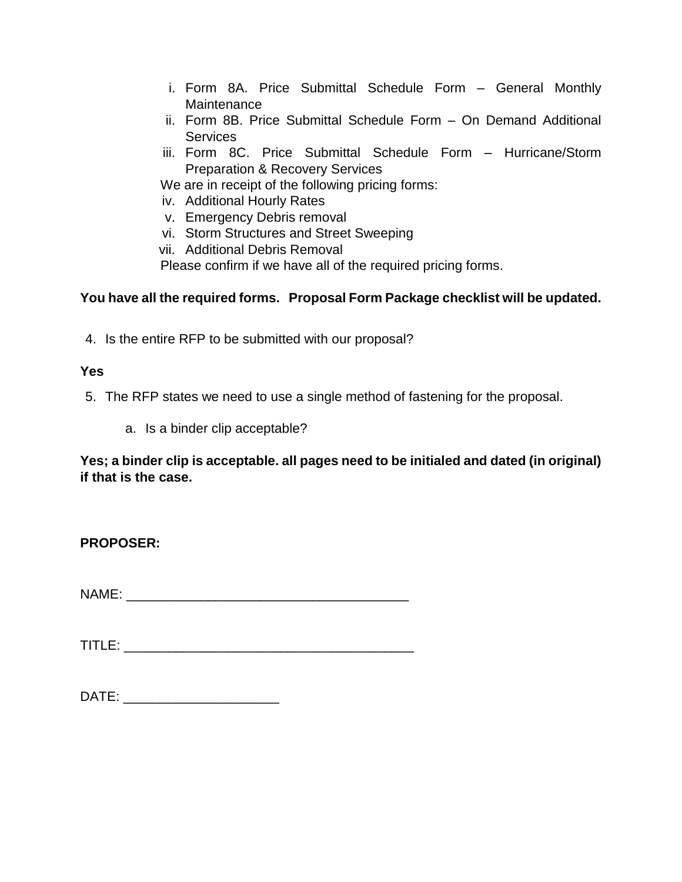- i. Form 8A. Price Submittal Schedule Form General Monthly **Maintenance**
- ii. Form 8B. Price Submittal Schedule Form On Demand Additional **Services**
- iii. Form 8C. Price Submittal Schedule Form Hurricane/Storm Preparation & Recovery Services

We are in receipt of the following pricing forms:

- iv. Additional Hourly Rates
- v. Emergency Debris removal
- vi. Storm Structures and Street Sweeping
- vii. Additional Debris Removal

Please confirm if we have all of the required pricing forms.

## **You have all the required forms. Proposal Form Package checklist will be updated.**

4. Is the entire RFP to be submitted with our proposal?

#### **Yes**

5. The RFP states we need to use a single method of fastening for the proposal.

a. Is a binder clip acceptable?

**Yes; a binder clip is acceptable. all pages need to be initialed and dated (in original) if that is the case.**

**PROPOSER:**

NAME:

 $\texttt{TIME:}$ 

| DATE |
|------|
|------|